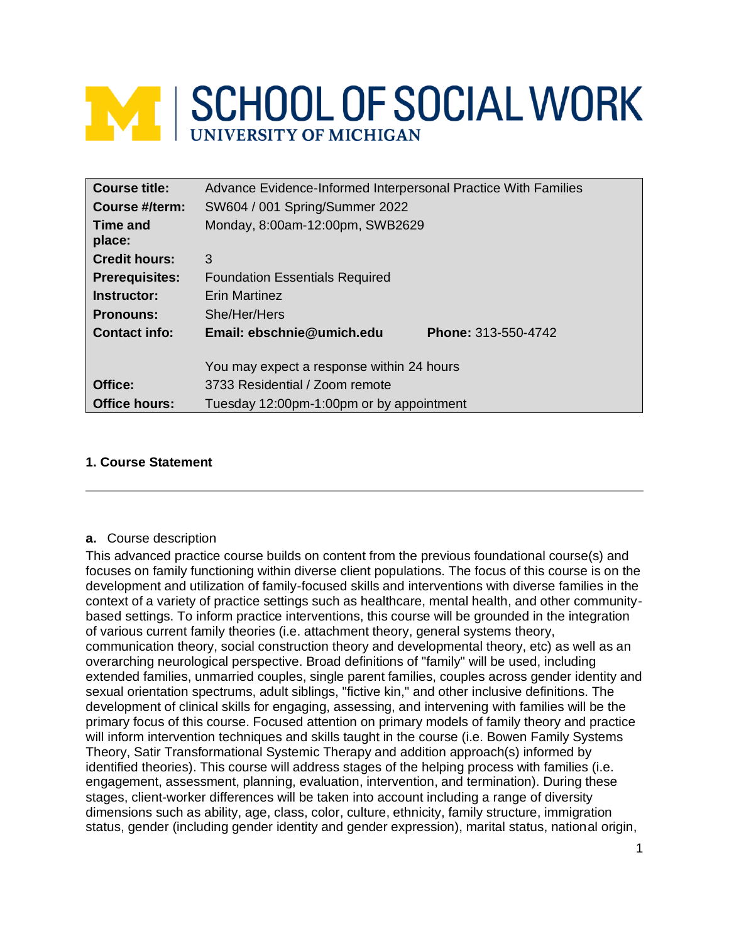# **MINISCHOOL OF SOCIAL WORK**

| Course title:         | Advance Evidence-Informed Interpersonal Practice With Families |
|-----------------------|----------------------------------------------------------------|
| Course #/term:        | SW604 / 001 Spring/Summer 2022                                 |
| Time and              | Monday, 8:00am-12:00pm, SWB2629                                |
| place:                |                                                                |
| <b>Credit hours:</b>  | 3                                                              |
| <b>Prerequisites:</b> | <b>Foundation Essentials Required</b>                          |
| Instructor:           | <b>Erin Martinez</b>                                           |
| <b>Pronouns:</b>      | She/Her/Hers                                                   |
| Contact info:         | Email: ebschnie@umich.edu<br>Phone: 313-550-4742               |
|                       | You may expect a response within 24 hours                      |
| Office:               | 3733 Residential / Zoom remote                                 |
| <b>Office hours:</b>  | Tuesday 12:00pm-1:00pm or by appointment                       |

## **1. Course Statement**

#### **a.** Course description

This advanced practice course builds on content from the previous foundational course(s) and focuses on family functioning within diverse client populations. The focus of this course is on the development and utilization of family-focused skills and interventions with diverse families in the context of a variety of practice settings such as healthcare, mental health, and other communitybased settings. To inform practice interventions, this course will be grounded in the integration of various current family theories (i.e. attachment theory, general systems theory, communication theory, social construction theory and developmental theory, etc) as well as an overarching neurological perspective. Broad definitions of "family" will be used, including extended families, unmarried couples, single parent families, couples across gender identity and sexual orientation spectrums, adult siblings, "fictive kin," and other inclusive definitions. The development of clinical skills for engaging, assessing, and intervening with families will be the primary focus of this course. Focused attention on primary models of family theory and practice will inform intervention techniques and skills taught in the course (i.e. Bowen Family Systems Theory, Satir Transformational Systemic Therapy and addition approach(s) informed by identified theories). This course will address stages of the helping process with families (i.e. engagement, assessment, planning, evaluation, intervention, and termination). During these stages, client-worker differences will be taken into account including a range of diversity dimensions such as ability, age, class, color, culture, ethnicity, family structure, immigration status, gender (including gender identity and gender expression), marital status, national origin,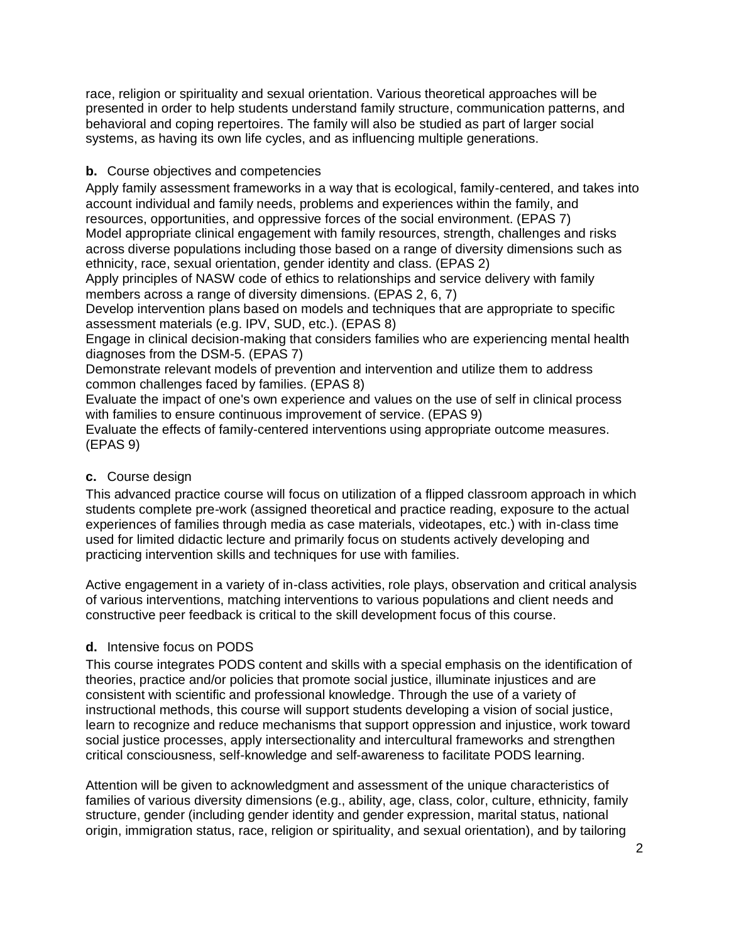race, religion or spirituality and sexual orientation. Various theoretical approaches will be presented in order to help students understand family structure, communication patterns, and behavioral and coping repertoires. The family will also be studied as part of larger social systems, as having its own life cycles, and as influencing multiple generations.

## **b.** Course objectives and competencies

Apply family assessment frameworks in a way that is ecological, family-centered, and takes into account individual and family needs, problems and experiences within the family, and resources, opportunities, and oppressive forces of the social environment. (EPAS 7) Model appropriate clinical engagement with family resources, strength, challenges and risks across diverse populations including those based on a range of diversity dimensions such as ethnicity, race, sexual orientation, gender identity and class. (EPAS 2)

Apply principles of NASW code of ethics to relationships and service delivery with family members across a range of diversity dimensions. (EPAS 2, 6, 7)

Develop intervention plans based on models and techniques that are appropriate to specific assessment materials (e.g. IPV, SUD, etc.). (EPAS 8)

Engage in clinical decision-making that considers families who are experiencing mental health diagnoses from the DSM-5. (EPAS 7)

Demonstrate relevant models of prevention and intervention and utilize them to address common challenges faced by families. (EPAS 8)

Evaluate the impact of one's own experience and values on the use of self in clinical process with families to ensure continuous improvement of service. (EPAS 9)

Evaluate the effects of family-centered interventions using appropriate outcome measures. (EPAS 9)

## **c.** Course design

This advanced practice course will focus on utilization of a flipped classroom approach in which students complete pre-work (assigned theoretical and practice reading, exposure to the actual experiences of families through media as case materials, videotapes, etc.) with in-class time used for limited didactic lecture and primarily focus on students actively developing and practicing intervention skills and techniques for use with families.

Active engagement in a variety of in-class activities, role plays, observation and critical analysis of various interventions, matching interventions to various populations and client needs and constructive peer feedback is critical to the skill development focus of this course.

# **d.** Intensive focus on PODS

This course integrates PODS content and skills with a special emphasis on the identification of theories, practice and/or policies that promote social justice, illuminate injustices and are consistent with scientific and professional knowledge. Through the use of a variety of instructional methods, this course will support students developing a vision of social justice, learn to recognize and reduce mechanisms that support oppression and injustice, work toward social justice processes, apply intersectionality and intercultural frameworks and strengthen critical consciousness, self-knowledge and self-awareness to facilitate PODS learning.

Attention will be given to acknowledgment and assessment of the unique characteristics of families of various diversity dimensions (e.g., ability, age, class, color, culture, ethnicity, family structure, gender (including gender identity and gender expression, marital status, national origin, immigration status, race, religion or spirituality, and sexual orientation), and by tailoring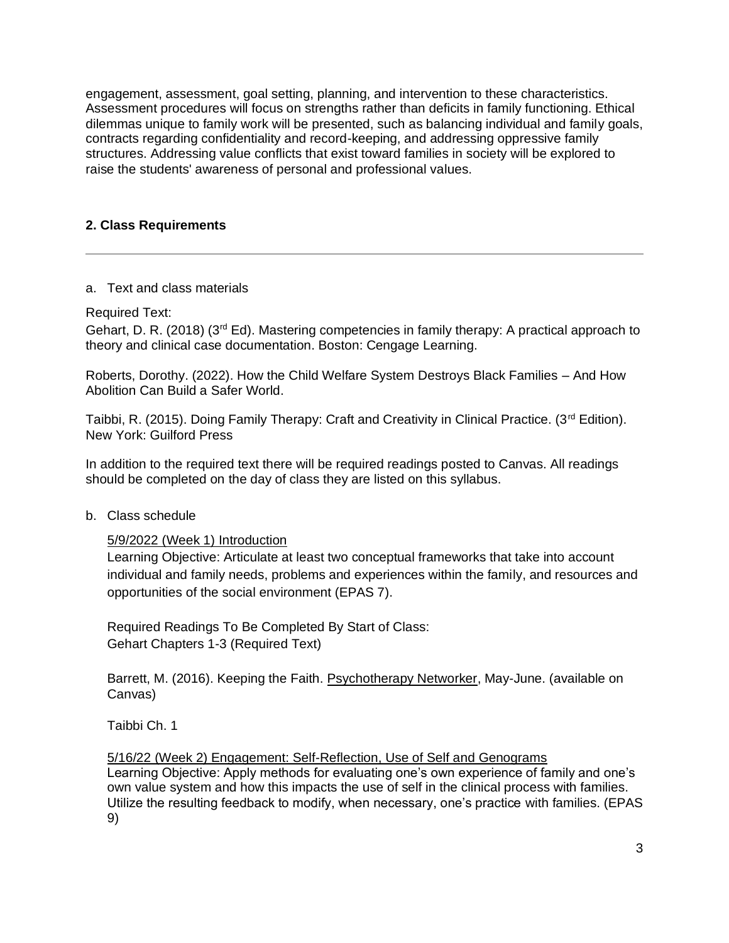engagement, assessment, goal setting, planning, and intervention to these characteristics. Assessment procedures will focus on strengths rather than deficits in family functioning. Ethical dilemmas unique to family work will be presented, such as balancing individual and family goals, contracts regarding confidentiality and record-keeping, and addressing oppressive family structures. Addressing value conflicts that exist toward families in society will be explored to raise the students' awareness of personal and professional values.

## **2. Class Requirements**

## a. Text and class materials

Required Text:

Gehart, D. R. (2018) (3<sup>rd</sup> Ed). Mastering competencies in family therapy: A practical approach to theory and clinical case documentation. Boston: Cengage Learning.

Roberts, Dorothy. (2022). How the Child Welfare System Destroys Black Families – And How Abolition Can Build a Safer World.

Taibbi, R. (2015). Doing Family Therapy: Craft and Creativity in Clinical Practice. (3<sup>rd</sup> Edition). New York: Guilford Press

In addition to the required text there will be required readings posted to Canvas. All readings should be completed on the day of class they are listed on this syllabus.

#### b. Class schedule

5/9/2022 (Week 1) Introduction

Learning Objective: Articulate at least two conceptual frameworks that take into account individual and family needs, problems and experiences within the family, and resources and opportunities of the social environment (EPAS 7).

Required Readings To Be Completed By Start of Class: Gehart Chapters 1-3 (Required Text)

Barrett, M. (2016). Keeping the Faith. Psychotherapy Networker, May-June. (available on Canvas)

Taibbi Ch. 1

5/16/22 (Week 2) Engagement: Self-Reflection, Use of Self and Genograms

Learning Objective: Apply methods for evaluating one's own experience of family and one's own value system and how this impacts the use of self in the clinical process with families. Utilize the resulting feedback to modify, when necessary, one's practice with families. (EPAS 9)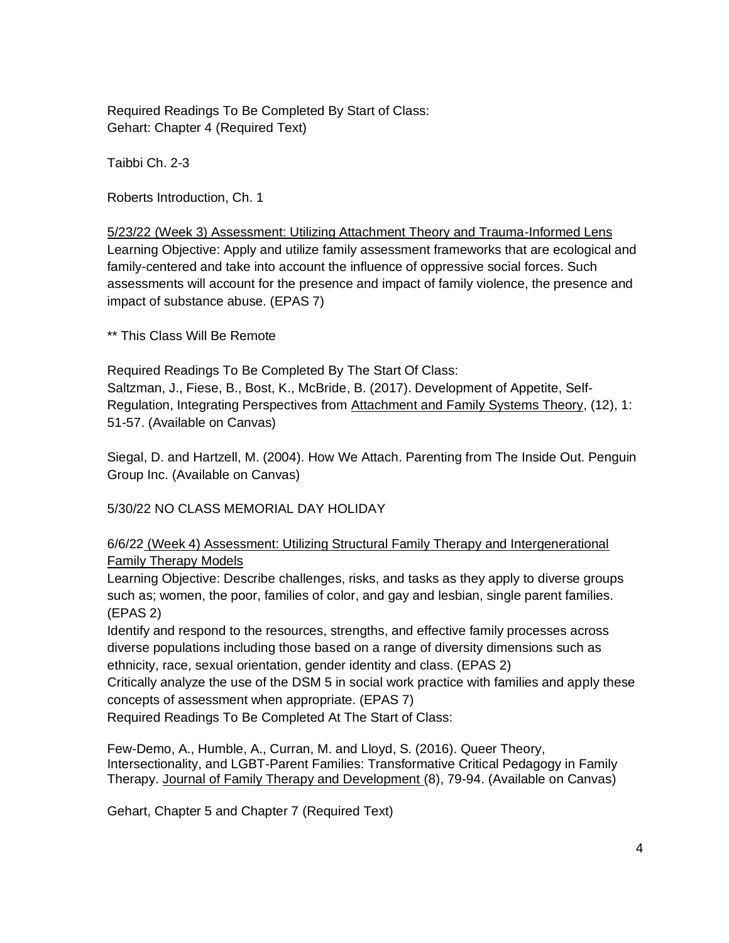Required Readings To Be Completed By Start of Class: Gehart: Chapter 4 (Required Text)

Taibbi Ch. 2-3

Roberts Introduction, Ch. 1

5/23/22 (Week 3) Assessment: Utilizing Attachment Theory and Trauma-Informed Lens Learning Objective: Apply and utilize family assessment frameworks that are ecological and family-centered and take into account the influence of oppressive social forces. Such assessments will account for the presence and impact of family violence, the presence and impact of substance abuse. (EPAS 7)

\*\* This Class Will Be Remote

Required Readings To Be Completed By The Start Of Class: Saltzman, J., Fiese, B., Bost, K., McBride, B. (2017). Development of Appetite, Self-Regulation, Integrating Perspectives from Attachment and Family Systems Theory, (12), 1: 51-57. (Available on Canvas)

Siegal, D. and Hartzell, M. (2004). How We Attach. Parenting from The Inside Out. Penguin Group Inc. (Available on Canvas)

5/30/22 NO CLASS MEMORIAL DAY HOLIDAY

6/6/22 (Week 4) Assessment: Utilizing Structural Family Therapy and Intergenerational Family Therapy Models

Learning Objective: Describe challenges, risks, and tasks as they apply to diverse groups such as; women, the poor, families of color, and gay and lesbian, single parent families. (EPAS 2)

Identify and respond to the resources, strengths, and effective family processes across diverse populations including those based on a range of diversity dimensions such as ethnicity, race, sexual orientation, gender identity and class. (EPAS 2)

Critically analyze the use of the DSM 5 in social work practice with families and apply these concepts of assessment when appropriate. (EPAS 7)

Required Readings To Be Completed At The Start of Class:

Few-Demo, A., Humble, A., Curran, M. and Lloyd, S. (2016). Queer Theory, Intersectionality, and LGBT-Parent Families: Transformative Critical Pedagogy in Family Therapy. Journal of Family Therapy and Development (8), 79-94. (Available on Canvas)

Gehart, Chapter 5 and Chapter 7 (Required Text)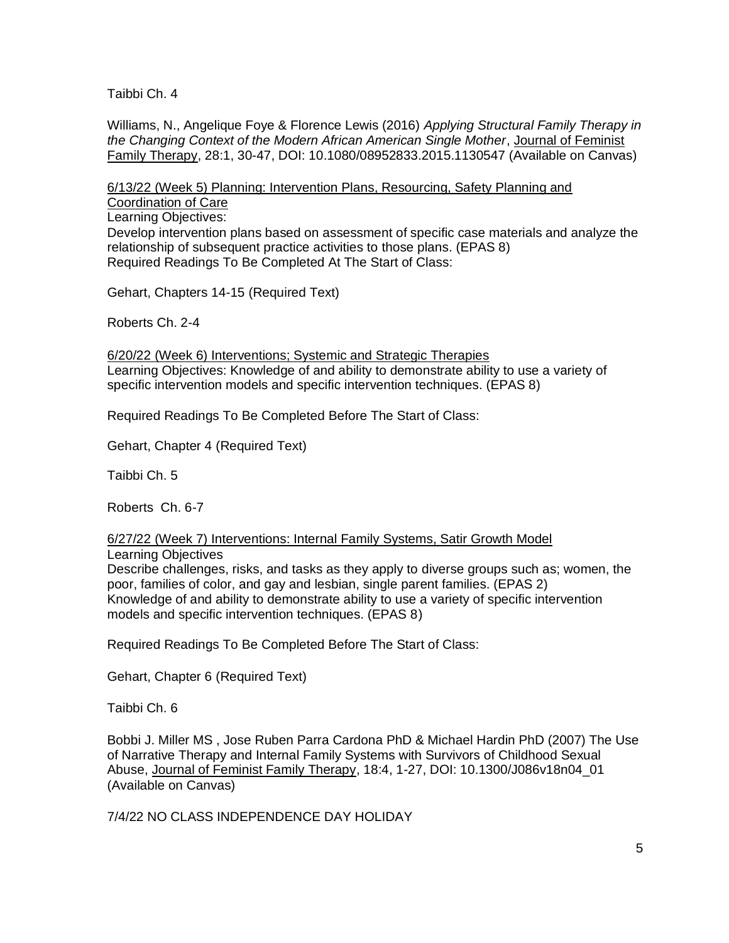Taibbi Ch. 4

Williams, N., Angelique Foye & Florence Lewis (2016) *Applying Structural Family Therapy in the Changing Context of the Modern African American Single Mother*, Journal of Feminist Family Therapy, 28:1, 30-47, DOI: 10.1080/08952833.2015.1130547 (Available on Canvas)

6/13/22 (Week 5) Planning: Intervention Plans, Resourcing, Safety Planning and Coordination of Care Learning Objectives: Develop intervention plans based on assessment of specific case materials and analyze the relationship of subsequent practice activities to those plans. (EPAS 8) Required Readings To Be Completed At The Start of Class:

Gehart, Chapters 14-15 (Required Text)

Roberts Ch. 2-4

6/20/22 (Week 6) Interventions; Systemic and Strategic Therapies Learning Objectives: Knowledge of and ability to demonstrate ability to use a variety of specific intervention models and specific intervention techniques. (EPAS 8)

Required Readings To Be Completed Before The Start of Class:

Gehart, Chapter 4 (Required Text)

Taibbi Ch. 5

Roberts Ch. 6-7

#### 6/27/22 (Week 7) Interventions: Internal Family Systems, Satir Growth Model Learning Objectives

Describe challenges, risks, and tasks as they apply to diverse groups such as; women, the poor, families of color, and gay and lesbian, single parent families. (EPAS 2) Knowledge of and ability to demonstrate ability to use a variety of specific intervention models and specific intervention techniques. (EPAS 8)

Required Readings To Be Completed Before The Start of Class:

Gehart, Chapter 6 (Required Text)

Taibbi Ch. 6

Bobbi J. Miller MS , Jose Ruben Parra Cardona PhD & Michael Hardin PhD (2007) The Use of Narrative Therapy and Internal Family Systems with Survivors of Childhood Sexual Abuse, Journal of Feminist Family Therapy, 18:4, 1-27, DOI: 10.1300/J086v18n04\_01 (Available on Canvas)

7/4/22 NO CLASS INDEPENDENCE DAY HOLIDAY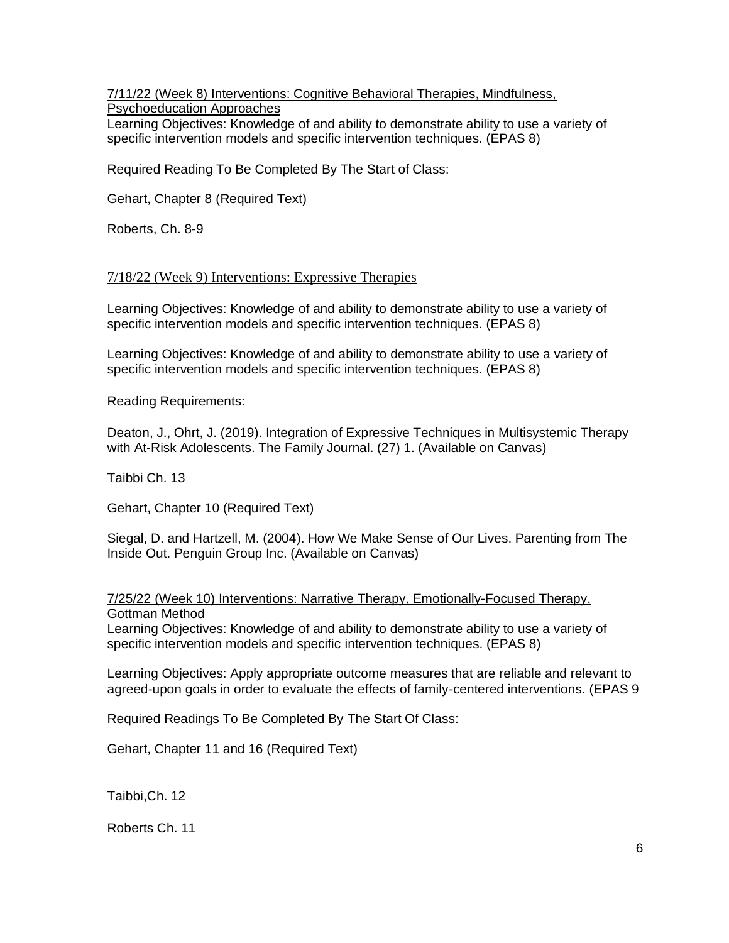7/11/22 (Week 8) Interventions: Cognitive Behavioral Therapies, Mindfulness, Psychoeducation Approaches

Learning Objectives: Knowledge of and ability to demonstrate ability to use a variety of specific intervention models and specific intervention techniques. (EPAS 8)

Required Reading To Be Completed By The Start of Class:

Gehart, Chapter 8 (Required Text)

Roberts, Ch. 8-9

#### 7/18/22 (Week 9) Interventions: Expressive Therapies

Learning Objectives: Knowledge of and ability to demonstrate ability to use a variety of specific intervention models and specific intervention techniques. (EPAS 8)

Learning Objectives: Knowledge of and ability to demonstrate ability to use a variety of specific intervention models and specific intervention techniques. (EPAS 8)

Reading Requirements:

Deaton, J., Ohrt, J. (2019). Integration of Expressive Techniques in Multisystemic Therapy with At-Risk Adolescents. The Family Journal. (27) 1. (Available on Canvas)

Taibbi Ch. 13

Gehart, Chapter 10 (Required Text)

Siegal, D. and Hartzell, M. (2004). How We Make Sense of Our Lives. Parenting from The Inside Out. Penguin Group Inc. (Available on Canvas)

## 7/25/22 (Week 10) Interventions: Narrative Therapy, Emotionally-Focused Therapy, Gottman Method

Learning Objectives: Knowledge of and ability to demonstrate ability to use a variety of specific intervention models and specific intervention techniques. (EPAS 8)

Learning Objectives: Apply appropriate outcome measures that are reliable and relevant to agreed-upon goals in order to evaluate the effects of family-centered interventions. (EPAS 9

Required Readings To Be Completed By The Start Of Class:

Gehart, Chapter 11 and 16 (Required Text)

Taibbi,Ch. 12

Roberts Ch. 11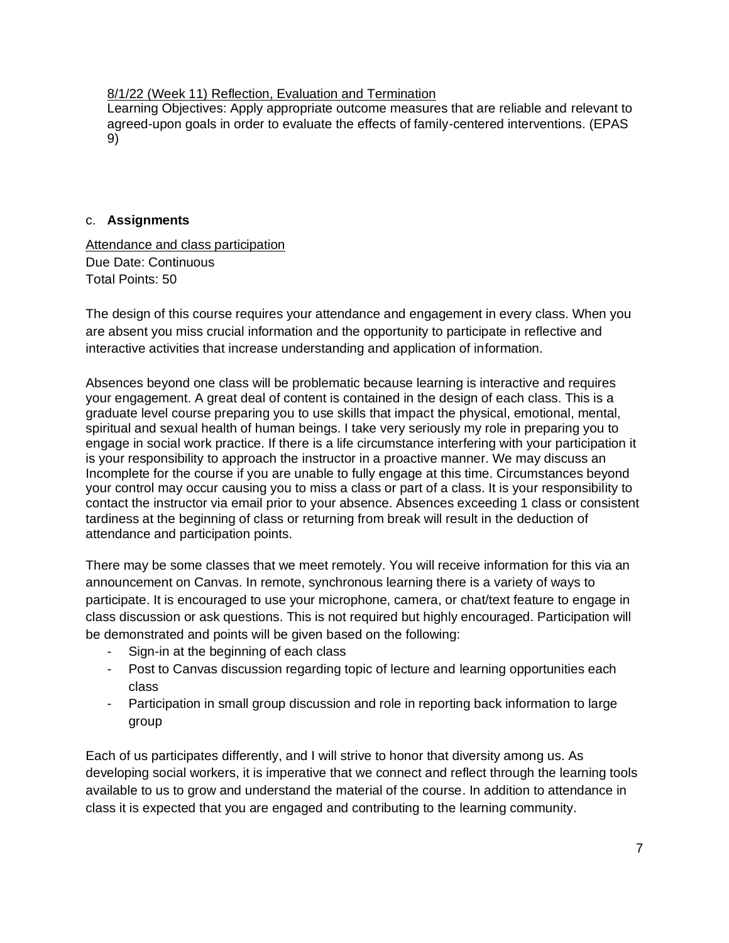## 8/1/22 (Week 11) Reflection, Evaluation and Termination

Learning Objectives: Apply appropriate outcome measures that are reliable and relevant to agreed-upon goals in order to evaluate the effects of family-centered interventions. (EPAS 9)

## c. **Assignments**

Attendance and class participation Due Date: Continuous Total Points: 50

The design of this course requires your attendance and engagement in every class. When you are absent you miss crucial information and the opportunity to participate in reflective and interactive activities that increase understanding and application of information.

Absences beyond one class will be problematic because learning is interactive and requires your engagement. A great deal of content is contained in the design of each class. This is a graduate level course preparing you to use skills that impact the physical, emotional, mental, spiritual and sexual health of human beings. I take very seriously my role in preparing you to engage in social work practice. If there is a life circumstance interfering with your participation it is your responsibility to approach the instructor in a proactive manner. We may discuss an Incomplete for the course if you are unable to fully engage at this time. Circumstances beyond your control may occur causing you to miss a class or part of a class. It is your responsibility to contact the instructor via email prior to your absence. Absences exceeding 1 class or consistent tardiness at the beginning of class or returning from break will result in the deduction of attendance and participation points.

There may be some classes that we meet remotely. You will receive information for this via an announcement on Canvas. In remote, synchronous learning there is a variety of ways to participate. It is encouraged to use your microphone, camera, or chat/text feature to engage in class discussion or ask questions. This is not required but highly encouraged. Participation will be demonstrated and points will be given based on the following:

- Sign-in at the beginning of each class
- Post to Canvas discussion regarding topic of lecture and learning opportunities each class
- Participation in small group discussion and role in reporting back information to large group

Each of us participates differently, and I will strive to honor that diversity among us. As developing social workers, it is imperative that we connect and reflect through the learning tools available to us to grow and understand the material of the course. In addition to attendance in class it is expected that you are engaged and contributing to the learning community.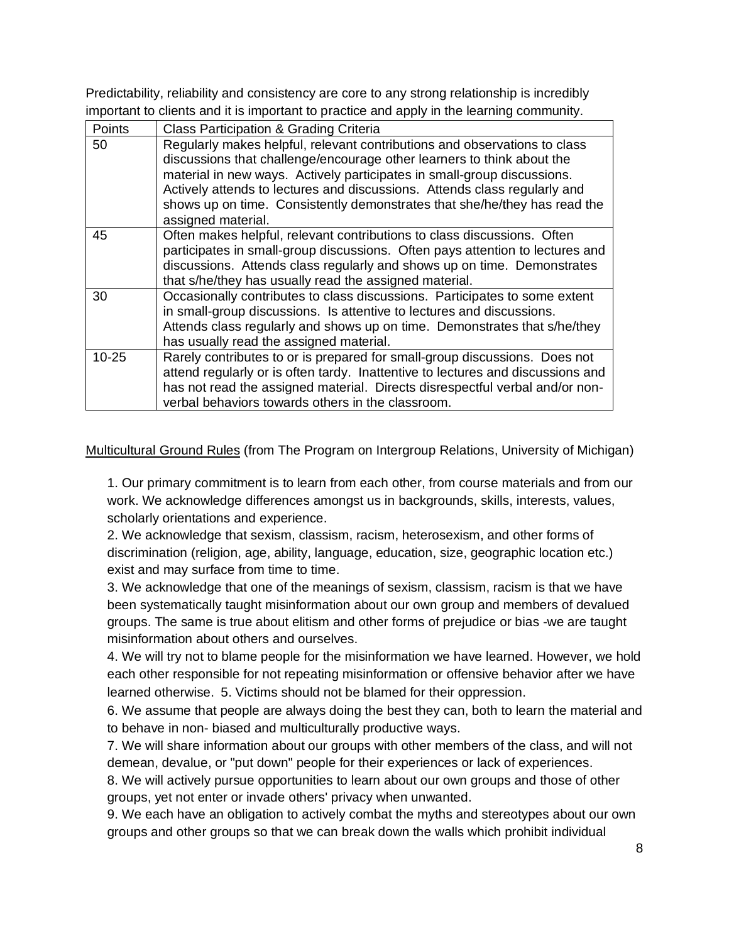Predictability, reliability and consistency are core to any strong relationship is incredibly important to clients and it is important to practice and apply in the learning community.

| Points    | Class Participation & Grading Criteria                                                                                                                                                                                                                                                                                                                                                                         |
|-----------|----------------------------------------------------------------------------------------------------------------------------------------------------------------------------------------------------------------------------------------------------------------------------------------------------------------------------------------------------------------------------------------------------------------|
| 50        | Regularly makes helpful, relevant contributions and observations to class<br>discussions that challenge/encourage other learners to think about the<br>material in new ways. Actively participates in small-group discussions.<br>Actively attends to lectures and discussions. Attends class regularly and<br>shows up on time. Consistently demonstrates that she/he/they has read the<br>assigned material. |
| 45        | Often makes helpful, relevant contributions to class discussions. Often<br>participates in small-group discussions. Often pays attention to lectures and<br>discussions. Attends class regularly and shows up on time. Demonstrates<br>that s/he/they has usually read the assigned material.                                                                                                                  |
| 30        | Occasionally contributes to class discussions. Participates to some extent<br>in small-group discussions. Is attentive to lectures and discussions.<br>Attends class regularly and shows up on time. Demonstrates that s/he/they<br>has usually read the assigned material.                                                                                                                                    |
| $10 - 25$ | Rarely contributes to or is prepared for small-group discussions. Does not<br>attend regularly or is often tardy. Inattentive to lectures and discussions and<br>has not read the assigned material. Directs disrespectful verbal and/or non-<br>verbal behaviors towards others in the classroom.                                                                                                             |

Multicultural Ground Rules (from The Program on Intergroup Relations, University of Michigan)

1. Our primary commitment is to learn from each other, from course materials and from our work. We acknowledge differences amongst us in backgrounds, skills, interests, values, scholarly orientations and experience.

2. We acknowledge that sexism, classism, racism, heterosexism, and other forms of discrimination (religion, age, ability, language, education, size, geographic location etc.) exist and may surface from time to time.

3. We acknowledge that one of the meanings of sexism, classism, racism is that we have been systematically taught misinformation about our own group and members of devalued groups. The same is true about elitism and other forms of prejudice or bias -we are taught misinformation about others and ourselves.

4. We will try not to blame people for the misinformation we have learned. However, we hold each other responsible for not repeating misinformation or offensive behavior after we have learned otherwise. 5. Victims should not be blamed for their oppression.

6. We assume that people are always doing the best they can, both to learn the material and to behave in non- biased and multiculturally productive ways.

7. We will share information about our groups with other members of the class, and will not demean, devalue, or "put down" people for their experiences or lack of experiences.

8. We will actively pursue opportunities to learn about our own groups and those of other groups, yet not enter or invade others' privacy when unwanted.

9. We each have an obligation to actively combat the myths and stereotypes about our own groups and other groups so that we can break down the walls which prohibit individual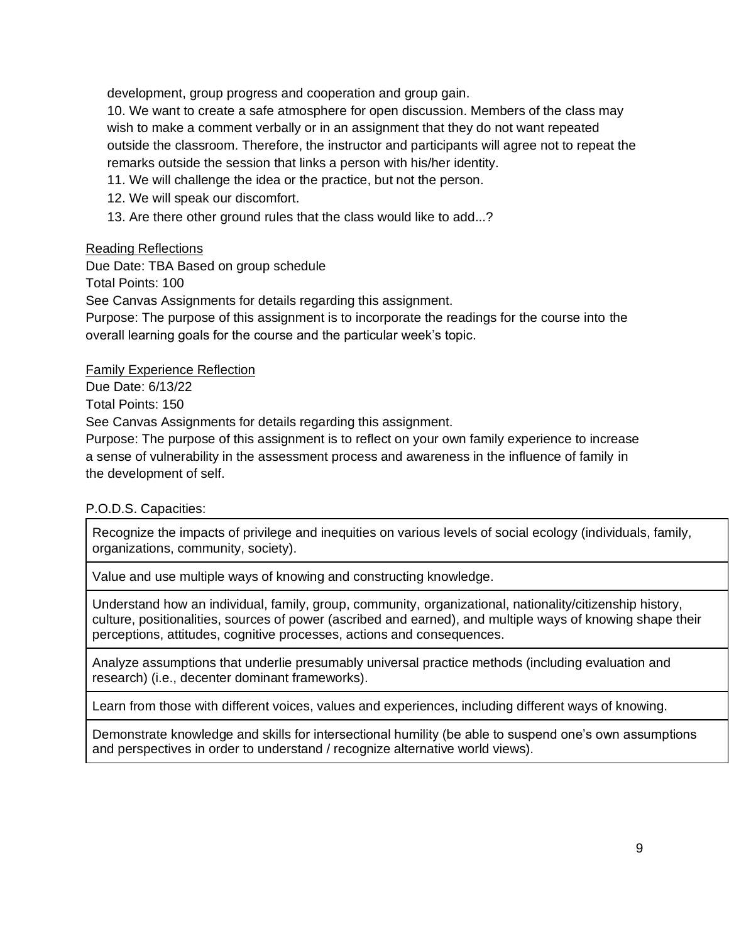development, group progress and cooperation and group gain.

10. We want to create a safe atmosphere for open discussion. Members of the class may wish to make a comment verbally or in an assignment that they do not want repeated outside the classroom. Therefore, the instructor and participants will agree not to repeat the remarks outside the session that links a person with his/her identity.

- 11. We will challenge the idea or the practice, but not the person.
- 12. We will speak our discomfort.
- 13. Are there other ground rules that the class would like to add...?

## Reading Reflections

Due Date: TBA Based on group schedule

Total Points: 100

See Canvas Assignments for details regarding this assignment.

Purpose: The purpose of this assignment is to incorporate the readings for the course into the overall learning goals for the course and the particular week's topic.

Family Experience Reflection

Due Date: 6/13/22

Total Points: 150

See Canvas Assignments for details regarding this assignment.

Purpose: The purpose of this assignment is to reflect on your own family experience to increase a sense of vulnerability in the assessment process and awareness in the influence of family in the development of self.

# P.O.D.S. Capacities:

Recognize the impacts of privilege and inequities on various levels of social ecology (individuals, family, organizations, community, society).

Value and use multiple ways of knowing and constructing knowledge.

Understand how an individual, family, group, community, organizational, nationality/citizenship history, culture, positionalities, sources of power (ascribed and earned), and multiple ways of knowing shape their perceptions, attitudes, cognitive processes, actions and consequences.

Analyze assumptions that underlie presumably universal practice methods (including evaluation and research) (i.e., decenter dominant frameworks).

Learn from those with different voices, values and experiences, including different ways of knowing.

Demonstrate knowledge and skills for intersectional humility (be able to suspend one's own assumptions and perspectives in order to understand / recognize alternative world views).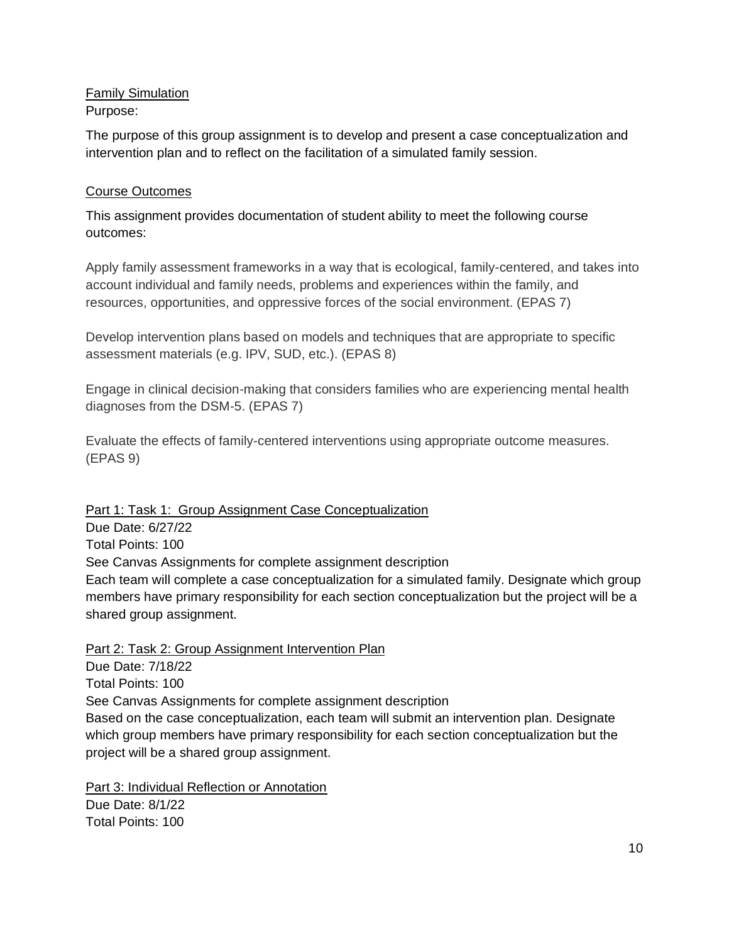Family Simulation Purpose:

The purpose of this group assignment is to develop and present a case conceptualization and intervention plan and to reflect on the facilitation of a simulated family session.

# Course Outcomes

This assignment provides documentation of student ability to meet the following course outcomes:

Apply family assessment frameworks in a way that is ecological, family-centered, and takes into account individual and family needs, problems and experiences within the family, and resources, opportunities, and oppressive forces of the social environment. (EPAS 7)

Develop intervention plans based on models and techniques that are appropriate to specific assessment materials (e.g. IPV, SUD, etc.). (EPAS 8)

Engage in clinical decision-making that considers families who are experiencing mental health diagnoses from the DSM-5. (EPAS 7)

Evaluate the effects of family-centered interventions using appropriate outcome measures. (EPAS 9)

Part 1: Task 1: Group Assignment Case Conceptualization Due Date: 6/27/22 Total Points: 100 See Canvas Assignments for complete assignment description Each team will complete a case conceptualization for a simulated family. Designate which group members have primary responsibility for each section conceptualization but the project will be a shared group assignment.

Part 2: Task 2: Group Assignment Intervention Plan Due Date: 7/18/22 Total Points: 100 See Canvas Assignments for complete assignment description Based on the case conceptualization, each team will submit an intervention plan. Designate which group members have primary responsibility for each section conceptualization but the project will be a shared group assignment.

Part 3: Individual Reflection or Annotation Due Date: 8/1/22 Total Points: 100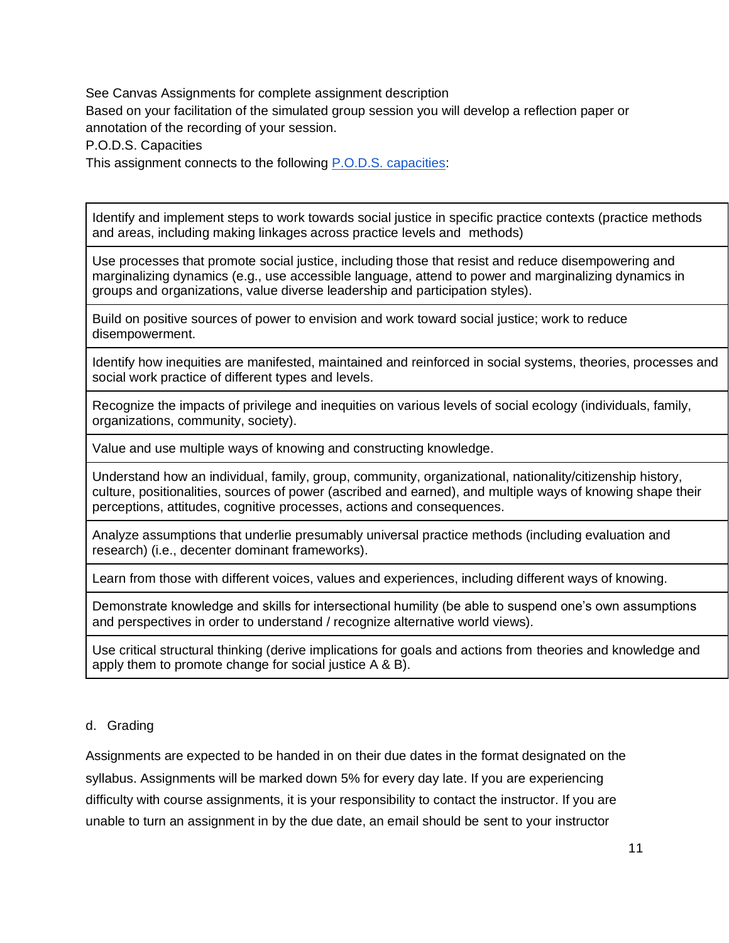See Canvas Assignments for complete assignment description Based on your facilitation of the simulated group session you will develop a reflection paper or annotation of the recording of your session.

P.O.D.S. Capacities

This assignment connects to the following [P.O.D.S. capacities:](https://docs.google.com/document/d/1HIp9L87LRnSKHyvwkE5Nr6C5VeiH9IjlOXBgjmOu6Cs/edit)

Identify and implement steps to work towards social justice in specific practice contexts (practice methods and areas, including making linkages across practice levels and methods)

Use processes that promote social justice, including those that resist and reduce disempowering and marginalizing dynamics (e.g., use accessible language, attend to power and marginalizing dynamics in groups and organizations, value diverse leadership and participation styles).

Build on positive sources of power to envision and work toward social justice; work to reduce disempowerment.

Identify how inequities are manifested, maintained and reinforced in social systems, theories, processes and social work practice of different types and levels.

Recognize the impacts of privilege and inequities on various levels of social ecology (individuals, family, organizations, community, society).

Value and use multiple ways of knowing and constructing knowledge.

Understand how an individual, family, group, community, organizational, nationality/citizenship history, culture, positionalities, sources of power (ascribed and earned), and multiple ways of knowing shape their perceptions, attitudes, cognitive processes, actions and consequences.

Analyze assumptions that underlie presumably universal practice methods (including evaluation and research) (i.e., decenter dominant frameworks).

Learn from those with different voices, values and experiences, including different ways of knowing.

Demonstrate knowledge and skills for intersectional humility (be able to suspend one's own assumptions and perspectives in order to understand / recognize alternative world views).

Use critical structural thinking (derive implications for goals and actions from theories and knowledge and apply them to promote change for social justice A & B).

## d. Grading

Assignments are expected to be handed in on their due dates in the format designated on the syllabus. Assignments will be marked down 5% for every day late. If you are experiencing difficulty with course assignments, it is your responsibility to contact the instructor. If you are unable to turn an assignment in by the due date, an email should be sent to your instructor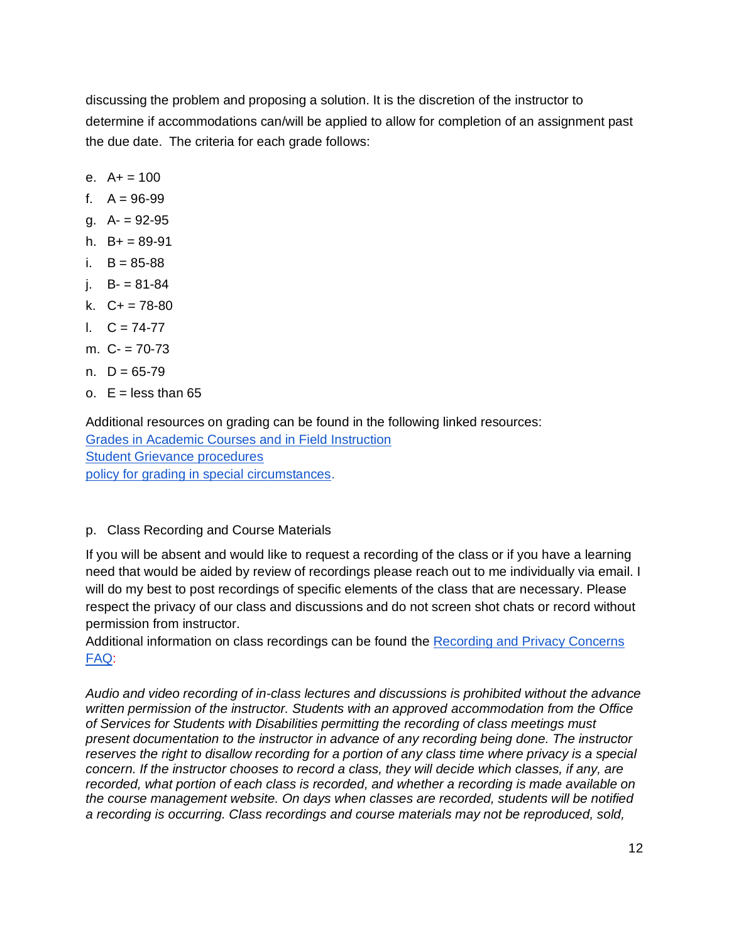discussing the problem and proposing a solution. It is the discretion of the instructor to determine if accommodations can/will be applied to allow for completion of an assignment past the due date. The criteria for each grade follows:

- e. A+ = 100
- f.  $A = 96-99$
- g. A- = 92-95
- h.  $B+=89-91$
- i.  $B = 85 88$
- i.  $B = 81-84$
- k. C+ = 78-80
- l. C = 74-77
- m. C- = 70-73
- n.  $D = 65 79$
- o.  $E =$  less than 65

Additional resources on grading can be found in the following linked resources: [Grades in Academic Courses and in Field Instruction](http://ssw.umich.edu/msw-student-guide/chapter/1.08/grades-in-academic-courses-and-in-field-instruction) [Student Grievance procedures](http://ssw.umich.edu/msw-student-guide/chapter/1.18/student-grievances) [policy for grading in special circumstances.](https://ssw.umich.edu/msw-student-guide/section/1.08.01/15/grades-for-special-circumstances)

## p. Class Recording and Course Materials

If you will be absent and would like to request a recording of the class or if you have a learning need that would be aided by review of recordings please reach out to me individually via email. I will do my best to post recordings of specific elements of the class that are necessary. Please respect the privacy of our class and discussions and do not screen shot chats or record without permission from instructor.

Additional information on class recordings can be found th[e Recording and Privacy Concerns](https://safecomputing.umich.edu/be-aware/privacy/privacy-u-m/videoconferencing/recording-privacy-concerns-faq)  [FAQ:](https://safecomputing.umich.edu/be-aware/privacy/privacy-u-m/videoconferencing/recording-privacy-concerns-faq)

*Audio and video recording of in-class lectures and discussions is prohibited without the advance written permission of the instructor. Students with an approved accommodation from the Office of Services for Students with Disabilities permitting the recording of class meetings must present documentation to the instructor in advance of any recording being done. The instructor reserves the right to disallow recording for a portion of any class time where privacy is a special concern. If the instructor chooses to record a class, they will decide which classes, if any, are recorded, what portion of each class is recorded, and whether a recording is made available on the course management website. On days when classes are recorded, students will be notified a recording is occurring. Class recordings and course materials may not be reproduced, sold,*